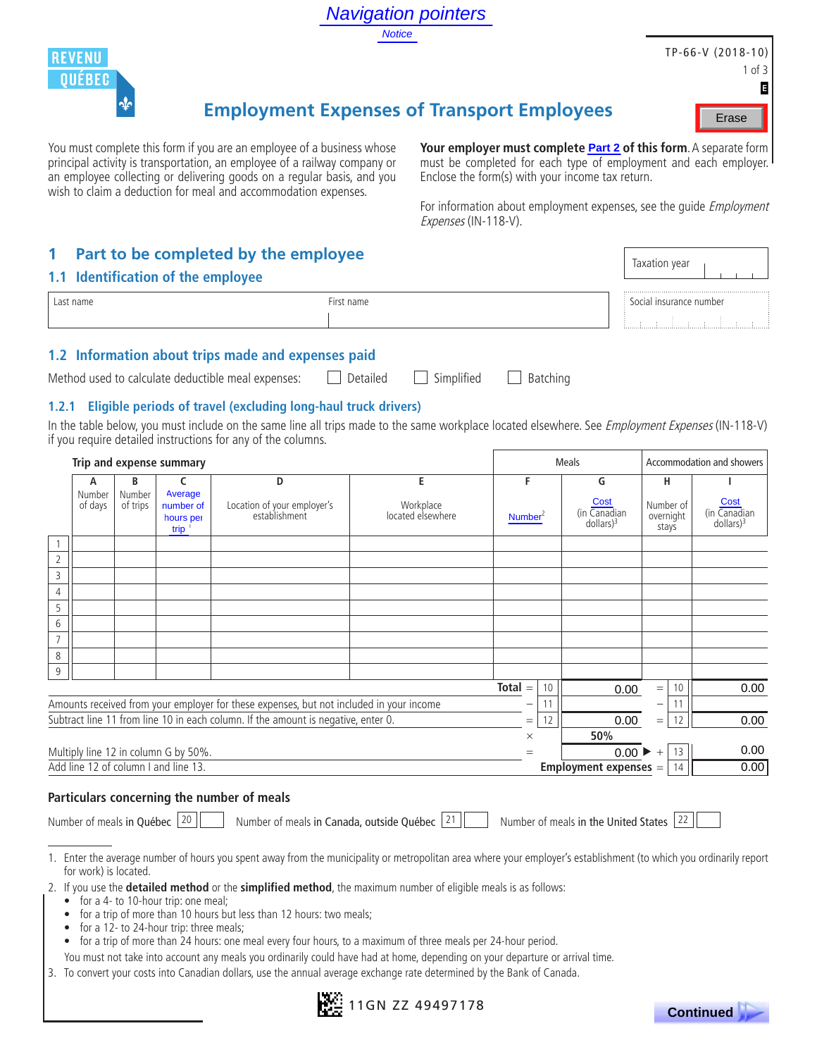

# **Employment Expenses of Transport Employees**

## **1 Part to be completed by the employee**

#### **1.1 Identification of the employee**

| $-1$ rct nome | number |
|---------------|--------|
|               |        |

## **1.2 Information about trips made and expenses paid**

## **1.2.1 Eligible periods of travel (excluding long-haul truck drivers)**

|                                      |                    |                                           |                                                                                                                                                                                                                                                                                                 |               | <b>Navigation pointers</b>     |                                                  |                                                 |                                 |                                                                                                                                              |
|--------------------------------------|--------------------|-------------------------------------------|-------------------------------------------------------------------------------------------------------------------------------------------------------------------------------------------------------------------------------------------------------------------------------------------------|---------------|--------------------------------|--------------------------------------------------|-------------------------------------------------|---------------------------------|----------------------------------------------------------------------------------------------------------------------------------------------|
|                                      |                    |                                           |                                                                                                                                                                                                                                                                                                 | <b>Notice</b> |                                |                                                  |                                                 |                                 |                                                                                                                                              |
| <b>REVENU</b>                        |                    |                                           |                                                                                                                                                                                                                                                                                                 |               |                                |                                                  |                                                 |                                 | TP-66-V (2018-10)                                                                                                                            |
| <b>QUÉBEC</b>                        |                    |                                           |                                                                                                                                                                                                                                                                                                 |               |                                |                                                  |                                                 |                                 | $1$ of $3$                                                                                                                                   |
|                                      | $\mathbf{\Phi}$    |                                           |                                                                                                                                                                                                                                                                                                 |               |                                |                                                  |                                                 |                                 | E                                                                                                                                            |
|                                      |                    |                                           | <b>Employment Expenses of Transport Employees</b>                                                                                                                                                                                                                                               |               |                                |                                                  |                                                 |                                 | Erase                                                                                                                                        |
|                                      |                    |                                           | You must complete this form if you are an employee of a business whose<br>principal activity is transportation, an employee of a railway company or<br>an employee collecting or delivering goods on a regular basis, and you<br>wish to claim a deduction for meal and accommodation expenses. |               |                                | Enclose the form(s) with your income tax return. |                                                 |                                 | Your employer must complete <b>Part 2 of this form</b> . A separate form<br>must be completed for each type of employment and each employer. |
|                                      |                    |                                           |                                                                                                                                                                                                                                                                                                 |               | Expenses (IN-118-V).           |                                                  |                                                 |                                 | For information about employment expenses, see the guide <i>Employment</i>                                                                   |
| 1                                    |                    |                                           | Part to be completed by the employee                                                                                                                                                                                                                                                            |               |                                |                                                  |                                                 |                                 |                                                                                                                                              |
| 1.1 Identification of the employee   |                    |                                           |                                                                                                                                                                                                                                                                                                 |               |                                |                                                  |                                                 | Taxation year                   |                                                                                                                                              |
| Last name                            |                    |                                           | First name                                                                                                                                                                                                                                                                                      |               |                                |                                                  |                                                 | Social insurance number         |                                                                                                                                              |
|                                      |                    |                                           |                                                                                                                                                                                                                                                                                                 |               |                                |                                                  |                                                 |                                 | and and and                                                                                                                                  |
|                                      |                    |                                           |                                                                                                                                                                                                                                                                                                 |               |                                |                                                  |                                                 |                                 |                                                                                                                                              |
|                                      |                    |                                           | 1.2 Information about trips made and expenses paid                                                                                                                                                                                                                                              |               |                                |                                                  |                                                 |                                 |                                                                                                                                              |
|                                      |                    |                                           | Method used to calculate deductible meal expenses:                                                                                                                                                                                                                                              | Detailed      | Simplified                     | Batching                                         |                                                 |                                 |                                                                                                                                              |
| 1.2.1                                |                    |                                           | Eligible periods of travel (excluding long-haul truck drivers)                                                                                                                                                                                                                                  |               |                                |                                                  |                                                 |                                 |                                                                                                                                              |
|                                      |                    |                                           | In the table below, you must include on the same line all trips made to the same workplace located elsewhere. See Employment Expenses (IN-118-V)                                                                                                                                                |               |                                |                                                  |                                                 |                                 |                                                                                                                                              |
|                                      |                    |                                           | if you require detailed instructions for any of the columns.                                                                                                                                                                                                                                    |               |                                |                                                  |                                                 |                                 |                                                                                                                                              |
| Trip and expense summary             |                    |                                           |                                                                                                                                                                                                                                                                                                 |               |                                |                                                  | <b>Meals</b>                                    |                                 | Accommodation and showers                                                                                                                    |
|                                      | В                  | c                                         | D                                                                                                                                                                                                                                                                                               |               | E                              | F                                                | G                                               | н                               | ı                                                                                                                                            |
| Number<br>of days                    | Number<br>of trips | Average<br>number of<br>hours per<br>trip | Location of your employer's<br>establishment                                                                                                                                                                                                                                                    |               | Workplace<br>located elsewhere | Number <sup>2</sup>                              | Cost<br>(in Canadian<br>$dollars)$ <sup>3</sup> | Number of<br>overnight<br>stays | Cost<br>(in Canadian<br>$dollars)$ <sup>3</sup>                                                                                              |
| $\mathbf{1}$                         |                    |                                           |                                                                                                                                                                                                                                                                                                 |               |                                |                                                  |                                                 |                                 |                                                                                                                                              |
| $\overline{2}$<br>$\overline{3}$     |                    |                                           |                                                                                                                                                                                                                                                                                                 |               |                                |                                                  |                                                 |                                 |                                                                                                                                              |
| $\overline{4}$                       |                    |                                           |                                                                                                                                                                                                                                                                                                 |               |                                |                                                  |                                                 |                                 |                                                                                                                                              |
| 5                                    |                    |                                           |                                                                                                                                                                                                                                                                                                 |               |                                |                                                  |                                                 |                                 |                                                                                                                                              |
| $\sqrt{6}$                           |                    |                                           |                                                                                                                                                                                                                                                                                                 |               |                                |                                                  |                                                 |                                 |                                                                                                                                              |
| $\overline{7}$                       |                    |                                           |                                                                                                                                                                                                                                                                                                 |               |                                |                                                  |                                                 |                                 |                                                                                                                                              |
| $\,8\,$<br>$\mathsf 9$               |                    |                                           |                                                                                                                                                                                                                                                                                                 |               |                                |                                                  |                                                 |                                 |                                                                                                                                              |
|                                      |                    |                                           |                                                                                                                                                                                                                                                                                                 |               |                                | $Total =$<br>10                                  | 0.00                                            | 10<br>$=$                       | 0.00                                                                                                                                         |
|                                      |                    |                                           | Amounts received from your employer for these expenses, but not included in your income                                                                                                                                                                                                         |               |                                | 11                                               |                                                 | 11<br>-                         |                                                                                                                                              |
|                                      |                    |                                           | Subtract line 11 from line 10 in each column. If the amount is negative, enter 0.                                                                                                                                                                                                               |               |                                | 12<br>$=$                                        | 0.00<br>50%                                     | 12<br>$\quad =$                 | 0.00                                                                                                                                         |
| Multiply line 12 in column G by 50%. |                    |                                           |                                                                                                                                                                                                                                                                                                 |               |                                | $\times$<br>$=$                                  |                                                 | $0.00 \rightarrow +$<br>13      | 0.00                                                                                                                                         |
| Add line 12 of column I and line 13. |                    |                                           |                                                                                                                                                                                                                                                                                                 |               |                                |                                                  | Employment expenses =                           | 14                              | 0.00                                                                                                                                         |

### **Particulars concerning the number of meals**

|  |  |  |  | Number of meals in Québec |
|--|--|--|--|---------------------------|
|--|--|--|--|---------------------------|

 $\boxed{20}$  Number of meals in Canada, outside Québec  $\boxed{21}$  Number of meals in the United States  $\boxed{22}$ 

1. Enter the average number of hours you spent away from the municipality or metropolitan area where your employer's establishment (to which you ordinarily report for work) is located.

2. If you use the **detailed method** or the **simplified method**, the maximum number of eligible meals is as follows:

- for a 4- to 10-hour trip: one meal;
- for a trip of more than 10 hours but less than 12 hours: two meals;
- for a 12- to 24-hour trip: three meals;
- for a trip of more than 24 hours: one meal every four hours, to a maximum of three meals per 24-hour period.

You must not take into account any meals you ordinarily could have had at home, depending on your departure or arrival time.

3. To convert your costs into Canadian dollars, use the annual average exchange rate determined by the Bank of Canada.



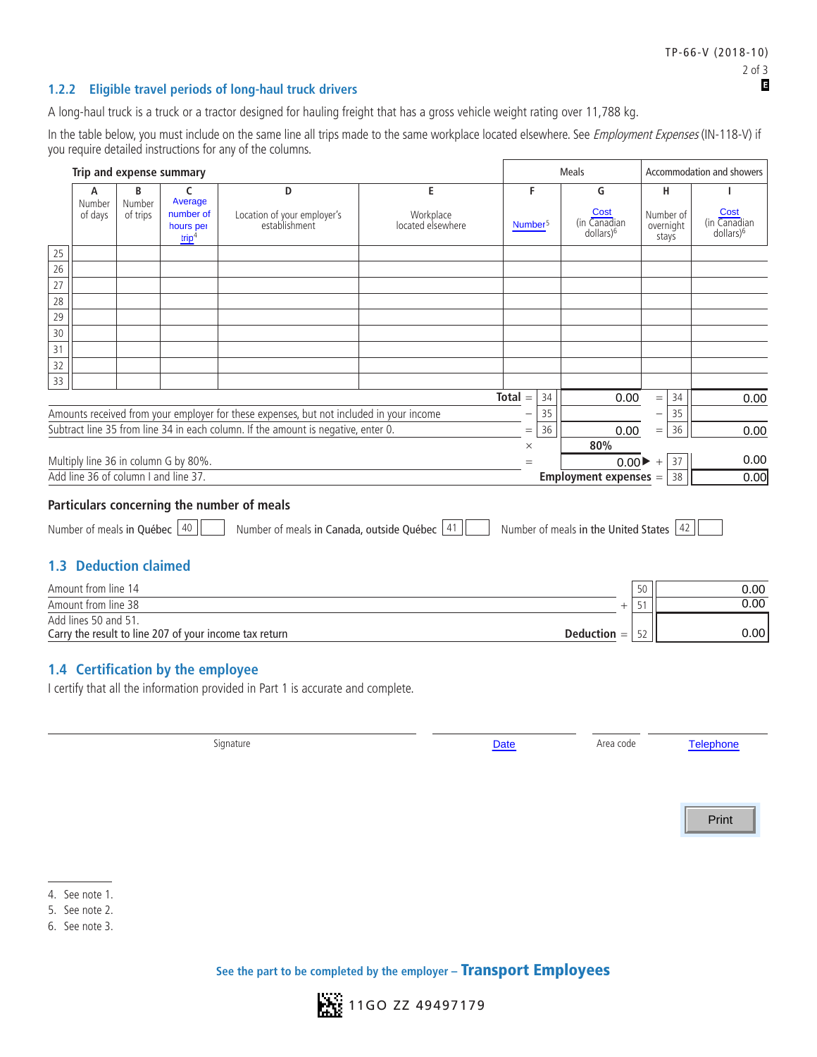#### **1.2.2 Eligible travel periods of long-haul truck drivers**

A long-haul truck is a truck or a tractor designed for hauling freight that has a gross vehicle weight rating over 11,788 kg.

In the table below, you must include on the same line all trips made to the same workplace located elsewhere. See Employment Expenses (IN-118-V) if you require detailed instructions for any of the columns.

|                 | Trip and expense summary                                     |                                      |                                                                                            |                   |                     | Meals                                   | Accommodation and showers |                                       |
|-----------------|--------------------------------------------------------------|--------------------------------------|--------------------------------------------------------------------------------------------|-------------------|---------------------|-----------------------------------------|---------------------------|---------------------------------------|
|                 | B<br>А<br>Number<br>Number<br>of days<br>of trips            | C<br>Average<br>number of            | D<br>Location of your employer's                                                           | E<br>Workplace    | F                   | G<br>Cost                               | н<br>Number of            | Cost                                  |
|                 |                                                              | hours per<br>trip <sup>4</sup>       | establishment                                                                              | located elsewhere | Number <sup>5</sup> | (in Canadian<br>dollars) <sup>6</sup>   | overnight<br>stays        | (in Canadian<br>dollars) <sup>6</sup> |
| 25              |                                                              |                                      |                                                                                            |                   |                     |                                         |                           |                                       |
| $\overline{26}$ |                                                              |                                      |                                                                                            |                   |                     |                                         |                           |                                       |
| $\overline{27}$ |                                                              |                                      |                                                                                            |                   |                     |                                         |                           |                                       |
| 28              |                                                              |                                      |                                                                                            |                   |                     |                                         |                           |                                       |
| 29              |                                                              |                                      |                                                                                            |                   |                     |                                         |                           |                                       |
| 30<br>31        |                                                              |                                      |                                                                                            |                   |                     |                                         |                           |                                       |
| 32              |                                                              |                                      |                                                                                            |                   |                     |                                         |                           |                                       |
| 33              |                                                              |                                      |                                                                                            |                   |                     |                                         |                           |                                       |
|                 |                                                              |                                      |                                                                                            |                   | $Total =$<br>34     | 0.00                                    | 34<br>$=$                 | 0.00                                  |
|                 |                                                              |                                      | Amounts received from your employer for these expenses, but not included in your income    |                   | 35                  |                                         | 35<br>-                   |                                       |
|                 |                                                              |                                      | Subtract line 35 from line 34 in each column. If the amount is negative, enter 0.          |                   | 36<br>$=$           | 0.00                                    | 36<br>$=$                 | 0.00                                  |
|                 |                                                              |                                      |                                                                                            |                   | $\times$            | 80%                                     |                           |                                       |
|                 | Multiply line 36 in column G by 80%.                         |                                      |                                                                                            |                   |                     | $0.00 \blacktriangleright$              | 37<br>$\qquad \qquad +$   | 0.00                                  |
|                 |                                                              |                                      |                                                                                            |                   |                     |                                         |                           |                                       |
|                 |                                                              | Add line 36 of column I and line 37. |                                                                                            |                   |                     | <b>Employment expenses =</b>            | 38                        |                                       |
|                 | Number of meals in Québec 40<br><b>1.3 Deduction claimed</b> |                                      | Particulars concerning the number of meals<br>Number of meals in Canada, outside Québec 41 |                   |                     | Number of meals in the United States 42 |                           | 0.00                                  |
|                 | Amount from line 14                                          |                                      |                                                                                            |                   |                     |                                         | 50                        | 0.00                                  |
|                 | Amount from line 38                                          |                                      |                                                                                            |                   |                     | $^{+}$                                  | 51                        | 0.00                                  |
|                 | Add lines 50 and 51.                                         |                                      |                                                                                            |                   |                     |                                         |                           |                                       |
|                 |                                                              |                                      | Carry the result to line 207 of your income tax return                                     |                   |                     | $Deduction =$                           | 52                        |                                       |
|                 | 1.4 Certification by the employee                            |                                      |                                                                                            |                   |                     |                                         |                           | 0.00                                  |
|                 |                                                              |                                      | I certify that all the information provided in Part 1 is accurate and complete.            |                   |                     |                                         |                           |                                       |

Print



<sup>4.</sup> See note 1.

<sup>5.</sup> See note 2.

<sup>6.</sup> See note 3.